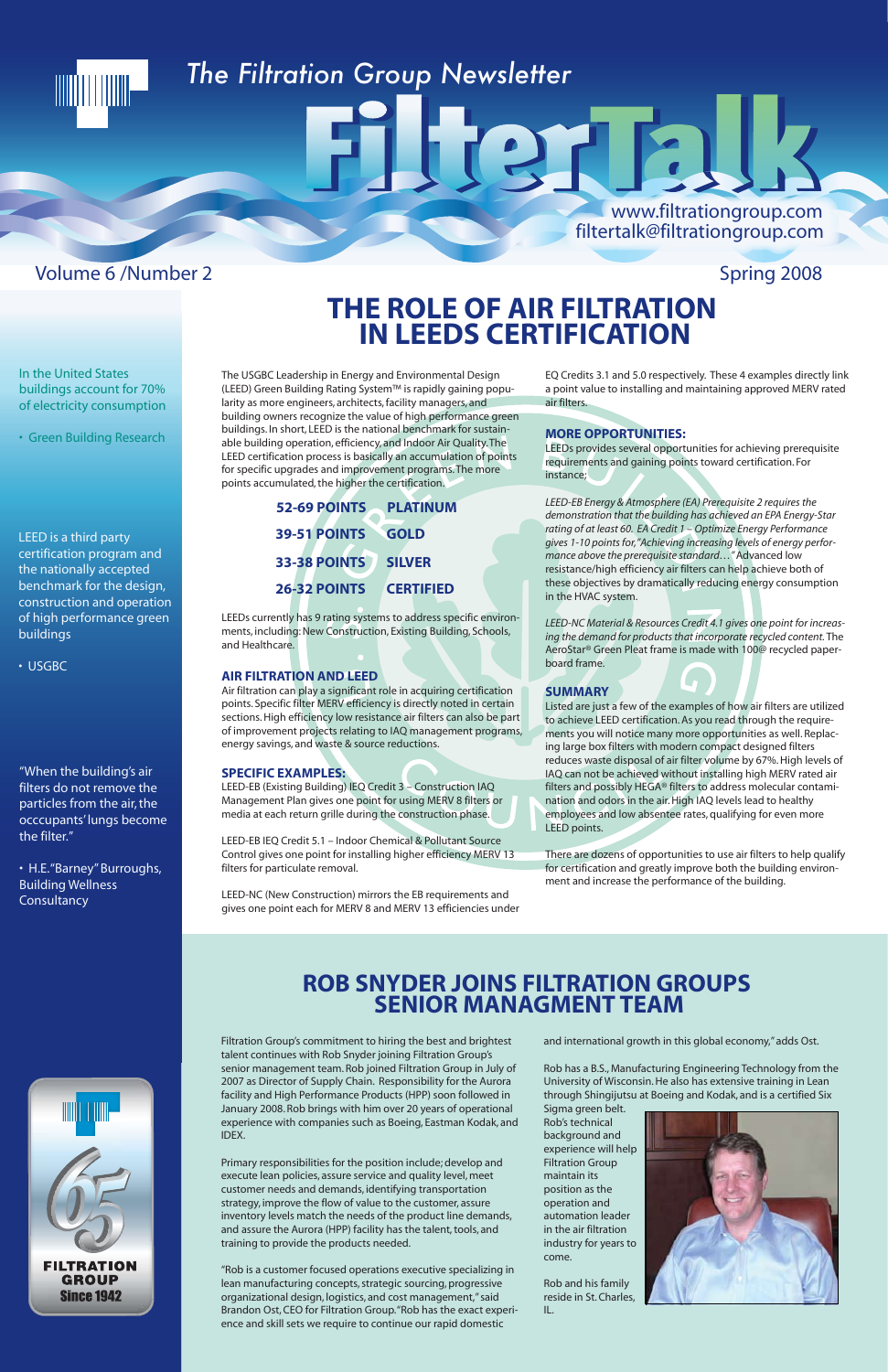

Primary responsibilities for the position include; develop and execute lean policies, assure service and quality level, meet customer needs and demands, identifying transportation strategy, improve the flow of value to the customer, assure inventory levels match the needs of the product line demands, and assure the Aurora (HPP) facility has the talent, tools, and training to provide the products needed.

"Rob is a customer focused operations executive specializing in lean manufacturing concepts, strategic sourcing, progressive organizational design, logistics, and cost management," said Brandon Ost, CEO for Filtration Group. "Rob has the exact experience and skill sets we require to continue our rapid domestic

and international growth in this global economy," adds Ost.

Rob has a B.S., Manufacturing Engineering Technology from the University of Wisconsin. He also has extensive training in Lean through Shingijutsu at Boeing and Kodak, and is a certified Six

Sigma green belt. Rob's technical background and experience will help Filtration Group maintain its position as the operation and automation leader in the air filtration industry for years to come.

Rob and his family reside in St. Charles, IL.



FILTRATION **GROUP Since 1942** 

## **ROB SNYDER JOINS FILTRATION GROUPS SENIOR MANAGMENT TEAM**

The USGBC Leadership in Energy and Environmental Design (LEED) Green Building Rating System™ is rapidly gaining popularity as more engineers, architects, facility managers, and building owners recognize the value of high performance green buildings. In short, LEED is the national benchmark for sustainable building operation, efficiency, and Indoor Air Quality. The LEED certification process is basically an accumulation of points for specific upgrades and improvement programs. The more points accumulated, the higher the certification.

LEEDs currently has 9 rating systems to address specific environments, including: New Construction, Existing Building, Schools, and Healthcare.

#### **AIR FILTRATION AND LEED**

Air filtration can play a significant role in acquiring certification points. Specific filter MERV efficiency is directly noted in certain sections. High efficiency low resistance air filters can also be part of improvement projects relating to IAQ management programs, energy savings, and waste & source reductions.

• H.E. "Barney" Burroughs, Building Wellness **Consultancy** 

### **SPECIFIC EXAMPLES:**

LEED-EB (Existing Building) IEQ Credit 3 – Construction IAQ Management Plan gives one point for using MERV 8 filters or media at each return grille during the construction phase.

LEED-EB IEQ Credit 5.1 – Indoor Chemical & Pollutant Source Control gives one point for installing higher efficiency MERV 13 filters for particulate removal.

LEED-NC (New Construction) mirrors the EB requirements and gives one point each for MERV 8 and MERV 13 efficiencies under EQ Credits 3.1 and 5.0 respectively. These 4 examples directly link a point value to installing and maintaining approved MERV rated air filters.

#### **MORE OPPORTUNITIES:**

LEEDs provides several opportunities for achieving prerequisite requirements and gaining points toward certification. For instance;

*LEED-EB Energy & Atmosphere (EA) Prerequisite 2 requires the demonstration that the building has achieved an EPA Energy-Star rating of at least 60. EA Credit 1 – Optimize Energy Performance gives 1-10 points for,"Achieving increasing levels of energy performance above the prerequisite standard…"* Advanced low resistance/high efficiency air filters can help achieve both of these objectives by dramatically reducing energy consumption in the HVAC system.

*LEED-NC Material & Resources Credit 4.1 gives one point for increasing the demand for products that incorporate recycled content.* The AeroStar® Green Pleat frame is made with 100@ recycled paperboard frame.

#### **SUMMARY**

Listed are just a few of the examples of how air filters are utilized to achieve LEED certification. As you read through the requirements you will notice many more opportunities as well. Replacing large box filters with modern compact designed filters reduces waste disposal of air filter volume by 67%. High levels of IAQ can not be achieved without installing high MERV rated air filters and possibly HEGA® filters to address molecular contamination and odors in the air. High IAQ levels lead to healthy employees and low absentee rates, qualifying for even more LEED points.

There are dozens of opportunities to use air filters to help qualify for certification and greatly improve both the building environment and increase the performance of the building.

## **THE ROLE OF AIR FILTRATION IN LEEDS CERTIFICATION**

#### In the United States buildings account for 70% of electricity consumption

• Green Building Research

LEED is a third party certification program and the nationally accepted benchmark for the design, construction and operation of high performance green buildings

• USGBC

"When the building's air filters do not remove the particles from the air, the occcupants' lungs become the filter."

**26-32 POINTS CERTIFIED 33-38 POINTS SILVER 39-51 POINTS GOLD 52-69 POINTS PLATINUM**

## *The Filtration Group Newsletter*

## Volume 6 /Number 2 Spring 2008

www.filtrationgroup.com

filtertalk@filtrationgroup.com